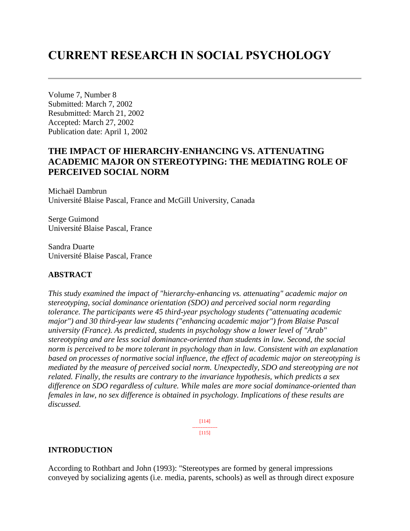# **CURRENT RESEARCH IN SOCIAL PSYCHOLOGY**

Volume 7, Number 8 Submitted: March 7, 2002 Resubmitted: March 21, 2002 Accepted: March 27, 2002 Publication date: April 1, 2002

# **THE IMPACT OF HIERARCHY-ENHANCING VS. ATTENUATING ACADEMIC MAJOR ON STEREOTYPING: THE MEDIATING ROLE OF PERCEIVED SOCIAL NORM**

Michaël Dambrun Université Blaise Pascal, France and McGill University, Canada

Serge Guimond Université Blaise Pascal, France

Sandra Duarte Université Blaise Pascal, France

# **ABSTRACT**

*This study examined the impact of "hierarchy-enhancing vs. attenuating" academic major on stereotyping, social dominance orientation (SDO) and perceived social norm regarding tolerance. The participants were 45 third-year psychology students ("attenuating academic major") and 30 third-year law students ("enhancing academic major") from Blaise Pascal university (France). As predicted, students in psychology show a lower level of "Arab" stereotyping and are less social dominance-oriented than students in law. Second, the social norm is perceived to be more tolerant in psychology than in law. Consistent with an explanation based on processes of normative social influence, the effect of academic major on stereotyping is mediated by the measure of perceived social norm. Unexpectedly, SDO and stereotyping are not related. Finally, the results are contrary to the invariance hypothesis, which predicts a sex difference on SDO regardless of culture. While males are more social dominance-oriented than females in law, no sex difference is obtained in psychology. Implications of these results are discussed.*

> [114] ---------------  $[115]$

# **INTRODUCTION**

According to Rothbart and John (1993): "Stereotypes are formed by general impressions conveyed by socializing agents (i.e. media, parents, schools) as well as through direct exposure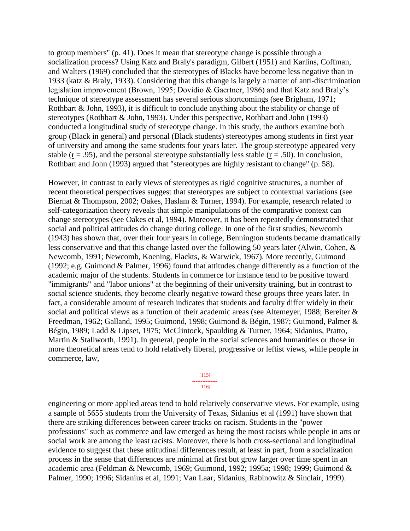to group members" (p. 41). Does it mean that stereotype change is possible through a socialization process? Using Katz and Braly's paradigm, Gilbert (1951) and Karlins, Coffman, and Walters (1969) concluded that the stereotypes of Blacks have become less negative than in 1933 (katz & Braly, 1933). Considering that this change is largely a matter of anti-discrimination legislation improvement (Brown, 1995; Dovidio & Gaertner, 1986) and that Katz and Braly's technique of stereotype assessment has several serious shortcomings (see Brigham, 1971; Rothbart & John, 1993), it is difficult to conclude anything about the stability or change of stereotypes (Rothbart & John, 1993). Under this perspective, Rothbart and John (1993) conducted a longitudinal study of stereotype change. In this study, the authors examine both group (Black in general) and personal (Black students) stereotypes among students in first year of university and among the same students four years later. The group stereotype appeared very stable ( $r = .95$ ), and the personal stereotype substantially less stable ( $r = .50$ ). In conclusion, Rothbart and John (1993) argued that "stereotypes are highly resistant to change" (p. 58).

However, in contrast to early views of stereotypes as rigid cognitive structures, a number of recent theoretical perspectives suggest that stereotypes are subject to contextual variations (see Biernat & Thompson, 2002; Oakes, Haslam & Turner, 1994). For example, research related to self-categorization theory reveals that simple manipulations of the comparative context can change stereotypes (see Oakes et al, 1994). Moreover, it has been repeatedly demonstrated that social and political attitudes do change during college. In one of the first studies, Newcomb (1943) has shown that, over their four years in college, Bennington students became dramatically less conservative and that this change lasted over the following 50 years later (Alwin, Cohen, & Newcomb, 1991; Newcomb, Koening, Flackts, & Warwick, 1967). More recently, Guimond (1992; e.g. Guimond & Palmer, 1996) found that attitudes change differently as a function of the academic major of the students. Students in commerce for instance tend to be positive toward "immigrants" and "labor unions" at the beginning of their university training, but in contrast to social science students, they become clearly negative toward these groups three years later. In fact, a considerable amount of research indicates that students and faculty differ widely in their social and political views as a function of their academic areas (see Altemeyer, 1988; Bereiter & Freedman, 1962; Galland, 1995; Guimond, 1998; Guimond & Bégin, 1987; Guimond, Palmer & Bégin, 1989; Ladd & Lipset, 1975; McClintock, Spaulding & Turner, 1964; Sidanius, Pratto, Martin & Stallworth, 1991). In general, people in the social sciences and humanities or those in more theoretical areas tend to hold relatively liberal, progressive or leftist views, while people in commerce, law,

#### [115] --------------- [116]

engineering or more applied areas tend to hold relatively conservative views. For example, using a sample of 5655 students from the University of Texas, Sidanius et al (1991) have shown that there are striking differences between career tracks on racism. Students in the "power professions" such as commerce and law emerged as being the most racists while people in arts or social work are among the least racists. Moreover, there is both cross-sectional and longitudinal evidence to suggest that these attitudinal differences result, at least in part, from a socialization process in the sense that differences are minimal at first but grow larger over time spent in an academic area (Feldman & Newcomb, 1969; Guimond, 1992; 1995a; 1998; 1999; Guimond & Palmer, 1990; 1996; Sidanius et al, 1991; Van Laar, Sidanius, Rabinowitz & Sinclair, 1999).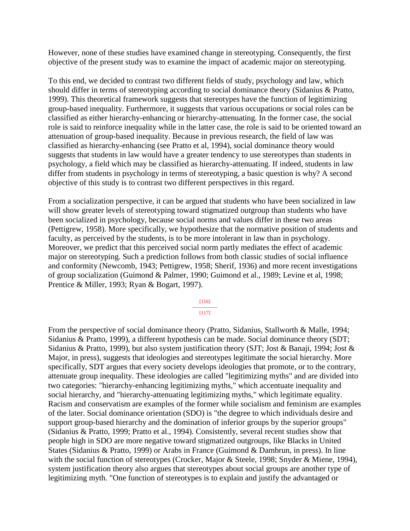However, none of these studies have examined change in stereotyping. Consequently, the first objective of the present study was to examine the impact of academic major on stereotyping.

To this end, we decided to contrast two different fields of study, psychology and law, which should differ in terms of stereotyping according to social dominance theory (Sidanius & Pratto, 1999). This theoretical framework suggests that stereotypes have the function of legitimizing group-based inequality. Furthermore, it suggests that various occupations or social roles can be classified as either hierarchy-enhancing or hierarchy-attenuating. In the former case, the social role is said to reinforce inequality while in the latter case, the role is said to be oriented toward an attenuation of group-based inequality. Because in previous research, the field of law was classified as hierarchy-enhancing (see Pratto et al, 1994), social dominance theory would suggests that students in law would have a greater tendency to use stereotypes than students in psychology, a field which may be classified as hierarchy-attenuating. If indeed, students in law differ from students in psychology in terms of stereotyping, a basic question is why? A second objective of this study is to contrast two different perspectives in this regard.

From a socialization perspective, it can be argued that students who have been socialized in law will show greater levels of stereotyping toward stigmatized outgroup than students who have been socialized in psychology, because social norms and values differ in these two areas (Pettigrew, 1958). More specifically, we hypothesize that the normative position of students and faculty, as perceived by the students, is to be more intolerant in law than in psychology. Moreover, we predict that this perceived social norm partly mediates the effect of academic major on stereotyping. Such a prediction follows from both classic studies of social influence and conformity (Newcomb, 1943; Pettigrew, 1958; Sherif, 1936) and more recent investigations of group socialization (Guimond & Palmer, 1990; Guimond et al., 1989; Levine et al, 1998; Prentice & Miller, 1993; Ryan & Bogart, 1997).

> [116] ---------------

> > [117]

From the perspective of social dominance theory (Pratto, Sidanius, Stallworth & Malle, 1994; Sidanius & Pratto, 1999), a different hypothesis can be made. Social dominance theory (SDT; Sidanius & Pratto, 1999), but also system justification theory (SJT; Jost & Banaji, 1994; Jost & Major, in press), suggests that ideologies and stereotypes legitimate the social hierarchy. More specifically, SDT argues that every society develops ideologies that promote, or to the contrary, attenuate group inequality. These ideologies are called "legitimizing myths" and are divided into two categories: "hierarchy-enhancing legitimizing myths," which accentuate inequality and social hierarchy, and "hierarchy-attenuating legitimizing myths," which legitimate equality. Racism and conservatism are examples of the former while socialism and feminism are examples of the later. Social dominance orientation (SDO) is "the degree to which individuals desire and support group-based hierarchy and the domination of inferior groups by the superior groups" (Sidanius & Pratto, 1999; Pratto et al., 1994). Consistently, several recent studies show that people high in SDO are more negative toward stigmatized outgroups, like Blacks in United States (Sidanius & Pratto, 1999) or Arabs in France (Guimond & Dambrun, in press). In line with the social function of stereotypes (Crocker, Major & Steele, 1998; Snyder & Miene, 1994), system justification theory also argues that stereotypes about social groups are another type of legitimizing myth. "One function of stereotypes is to explain and justify the advantaged or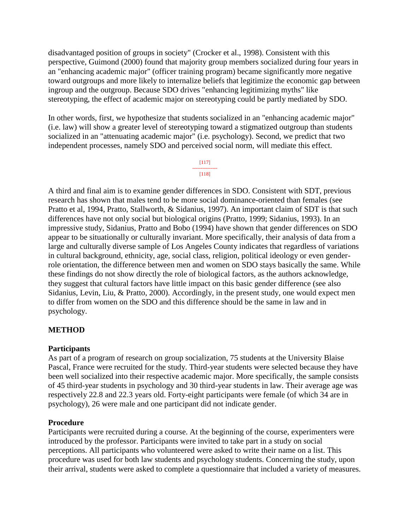disadvantaged position of groups in society" (Crocker et al., 1998). Consistent with this perspective, Guimond (2000) found that majority group members socialized during four years in an "enhancing academic major" (officer training program) became significantly more negative toward outgroups and more likely to internalize beliefs that legitimize the economic gap between ingroup and the outgroup. Because SDO drives "enhancing legitimizing myths" like stereotyping, the effect of academic major on stereotyping could be partly mediated by SDO.

In other words, first, we hypothesize that students socialized in an "enhancing academic major" (i.e. law) will show a greater level of stereotyping toward a stigmatized outgroup than students socialized in an "attenuating academic major" (i.e. psychology). Second, we predict that two independent processes, namely SDO and perceived social norm, will mediate this effect.

> [117] --------------- [118]

A third and final aim is to examine gender differences in SDO. Consistent with SDT, previous research has shown that males tend to be more social dominance-oriented than females (see Pratto et al, 1994, Pratto, Stallworth, & Sidanius, 1997). An important claim of SDT is that such differences have not only social but biological origins (Pratto, 1999; Sidanius, 1993). In an impressive study, Sidanius, Pratto and Bobo (1994) have shown that gender differences on SDO appear to be situationally or culturally invariant. More specifically, their analysis of data from a large and culturally diverse sample of Los Angeles County indicates that regardless of variations in cultural background, ethnicity, age, social class, religion, political ideology or even genderrole orientation, the difference between men and women on SDO stays basically the same. While these findings do not show directly the role of biological factors, as the authors acknowledge, they suggest that cultural factors have little impact on this basic gender difference (see also Sidanius, Levin, Liu, & Pratto, 2000). Accordingly, in the present study, one would expect men to differ from women on the SDO and this difference should be the same in law and in psychology.

# **METHOD**

### **Participants**

As part of a program of research on group socialization, 75 students at the University Blaise Pascal, France were recruited for the study. Third-year students were selected because they have been well socialized into their respective academic major. More specifically, the sample consists of 45 third-year students in psychology and 30 third-year students in law. Their average age was respectively 22.8 and 22.3 years old. Forty-eight participants were female (of which 34 are in psychology), 26 were male and one participant did not indicate gender.

### **Procedure**

Participants were recruited during a course. At the beginning of the course, experimenters were introduced by the professor. Participants were invited to take part in a study on social perceptions. All participants who volunteered were asked to write their name on a list. This procedure was used for both law students and psychology students. Concerning the study, upon their arrival, students were asked to complete a questionnaire that included a variety of measures.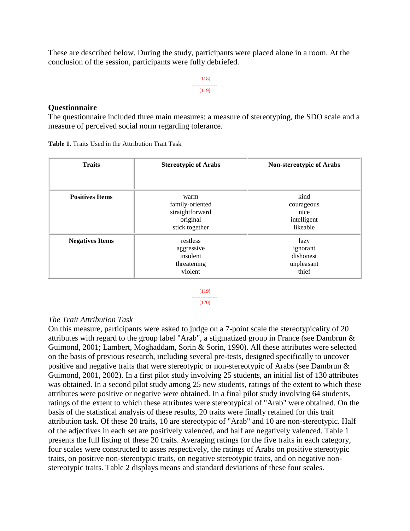These are described below. During the study, participants were placed alone in a room. At the conclusion of the session, participants were fully debriefed.

> [118] --------------- [119]

#### **Questionnaire**

The questionnaire included three main measures: a measure of stereotyping, the SDO scale and a measure of perceived social norm regarding tolerance.

| <b>Traits</b>          | <b>Stereotypic of Arabs</b>                                              | <b>Non-stereotypic of Arabs</b>                       |  |  |
|------------------------|--------------------------------------------------------------------------|-------------------------------------------------------|--|--|
|                        |                                                                          |                                                       |  |  |
| <b>Positives Items</b> | warm<br>family-oriented<br>straightforward<br>original<br>stick together | kind<br>courageous<br>nice<br>intelligent<br>likeable |  |  |
| <b>Negatives Items</b> | restless<br>aggressive<br>insolent<br>threatening<br>violent             | lazy<br>ignorant<br>dishonest<br>unpleasant<br>thief  |  |  |

**Table 1.** Traits Used in the Attribution Trait Task

[119] ---------------

#### [120]

### *The Trait Attribution Task*

On this measure, participants were asked to judge on a 7-point scale the stereotypicality of 20 attributes with regard to the group label "Arab", a stigmatized group in France (see Dambrun & Guimond, 2001; Lambert, Moghaddam, Sorin & Sorin, 1990). All these attributes were selected on the basis of previous research, including several pre-tests, designed specifically to uncover positive and negative traits that were stereotypic or non-stereotypic of Arabs (see Dambrun & Guimond, 2001, 2002). In a first pilot study involving 25 students, an initial list of 130 attributes was obtained. In a second pilot study among 25 new students, ratings of the extent to which these attributes were positive or negative were obtained. In a final pilot study involving 64 students, ratings of the extent to which these attributes were stereotypical of "Arab" were obtained. On the basis of the statistical analysis of these results, 20 traits were finally retained for this trait attribution task. Of these 20 traits, 10 are stereotypic of "Arab" and 10 are non-stereotypic. Half of the adjectives in each set are positively valenced, and half are negatively valenced. Table 1 presents the full listing of these 20 traits. Averaging ratings for the five traits in each category, four scales were constructed to asses respectively, the ratings of Arabs on positive stereotypic traits, on positive non-stereotypic traits, on negative stereotypic traits, and on negative nonstereotypic traits. Table 2 displays means and standard deviations of these four scales.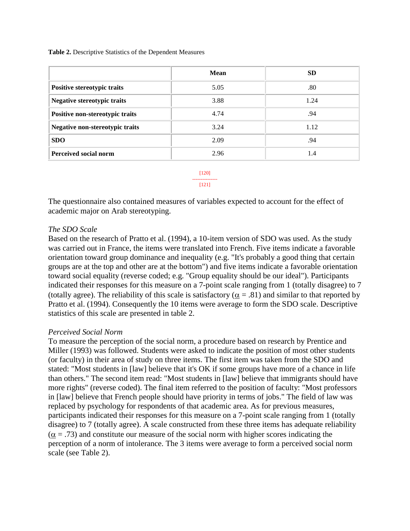**Table 2.** Descriptive Statistics of the Dependent Measures

|                                    | Mean | SD   |
|------------------------------------|------|------|
| Positive stereotypic traits        | 5.05 | .80  |
| <b>Negative stereotypic traits</b> | 3.88 | 1.24 |
| Positive non-stereotypic traits    | 4.74 | .94  |
| Negative non-stereotypic traits    | 3.24 | 1.12 |
| <b>SDO</b>                         | 2.09 | .94  |
| <b>Perceived social norm</b>       | 2.96 | 1.4  |

[120] --------------- [121]

The questionnaire also contained measures of variables expected to account for the effect of academic major on Arab stereotyping.

### *The SDO Scale*

Based on the research of Pratto et al. (1994), a 10-item version of SDO was used. As the study was carried out in France, the items were translated into French. Five items indicate a favorable orientation toward group dominance and inequality (e.g. "It's probably a good thing that certain groups are at the top and other are at the bottom") and five items indicate a favorable orientation toward social equality (reverse coded; e.g. "Group equality should be our ideal"). Participants indicated their responses for this measure on a 7-point scale ranging from 1 (totally disagree) to 7 (totally agree). The reliability of this scale is satisfactory ( $\alpha = .81$ ) and similar to that reported by Pratto et al. (1994). Consequently the 10 items were average to form the SDO scale. Descriptive statistics of this scale are presented in table 2.

### *Perceived Social Norm*

To measure the perception of the social norm, a procedure based on research by Prentice and Miller (1993) was followed. Students were asked to indicate the position of most other students (or faculty) in their area of study on three items. The first item was taken from the SDO and stated: "Most students in [law] believe that it's OK if some groups have more of a chance in life than others." The second item read: "Most students in [law] believe that immigrants should have more rights" (reverse coded). The final item referred to the position of faculty: "Most professors in [law] believe that French people should have priority in terms of jobs." The field of law was replaced by psychology for respondents of that academic area. As for previous measures, participants indicated their responses for this measure on a 7-point scale ranging from 1 (totally disagree) to 7 (totally agree). A scale constructed from these three items has adequate reliability  $(\alpha = .73)$  and constitute our measure of the social norm with higher scores indicating the perception of a norm of intolerance. The 3 items were average to form a perceived social norm scale (see Table 2).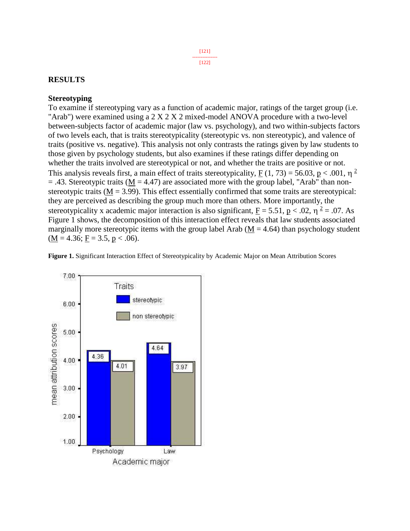#### [121] --------------- [122]

## **RESULTS**

### **Stereotyping**

To examine if stereotyping vary as a function of academic major, ratings of the target group (i.e. "Arab") were examined using a 2 X 2 X 2 mixed-model ANOVA procedure with a two-level between-subjects factor of academic major (law vs. psychology), and two within-subjects factors of two levels each, that is traits stereotypicality (stereotypic vs. non stereotypic), and valence of traits (positive vs. negative). This analysis not only contrasts the ratings given by law students to those given by psychology students, but also examines if these ratings differ depending on whether the traits involved are stereotypical or not, and whether the traits are positive or not. This analysis reveals first, a main effect of traits stereotypicality,  $\underline{F}(1, 73) = 56.03$ ,  $\underline{p} < .001$ ,  $\eta$ <sup>2</sup>  $=$  .43. Stereotypic traits (M = 4.47) are associated more with the group label, "Arab" than nonstereotypic traits ( $\underline{M} = 3.99$ ). This effect essentially confirmed that some traits are stereotypical: they are perceived as describing the group much more than others. More importantly, the stereotypicality x academic major interaction is also significant,  $\underline{F} = 5.51$ ,  $\underline{p} < .02$ ,  $\eta^2 = .07$ . As Figure 1 shows, the decomposition of this interaction effect reveals that law students associated marginally more stereotypic items with the group label Arab ( $M = 4.64$ ) than psychology student  $(M = 4.36; F = 3.5, p < .06).$ 

**Figure 1.** Significant Interaction Effect of Stereotypicality by Academic Major on Mean Attribution Scores

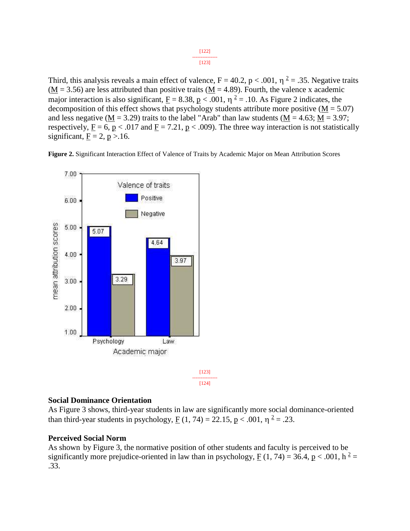Third, this analysis reveals a main effect of valence,  $F = 40.2$ ,  $p < .001$ ,  $\eta^2 = .35$ . Negative traits  $(M = 3.56)$  are less attributed than positive traits  $(M = 4.89)$ . Fourth, the valence x academic major interaction is also significant,  $\underline{F} = 8.38$ ,  $\underline{p} < .001$ ,  $\eta^2 = .10$ . As Figure 2 indicates, the decomposition of this effect shows that psychology students attribute more positive  $(M = 5.07)$ and less negative ( $\underline{M} = 3.29$ ) traits to the label "Arab" than law students ( $\underline{M} = 4.63$ ;  $\underline{M} = 3.97$ ; respectively,  $F = 6$ ,  $p < .017$  and  $F = 7.21$ ,  $p < .009$ ). The three way interaction is not statistically significant,  $F = 2$ ,  $p > 16$ .

**Figure 2.** Significant Interaction Effect of Valence of Traits by Academic Major on Mean Attribution Scores



### [124]

### **Social Dominance Orientation**

As Figure 3 shows, third-year students in law are significantly more social dominance-oriented than third-year students in psychology,  $\underline{F}(1, 74) = 22.15$ ,  $\underline{p} < .001$ ,  $\eta^2 = .23$ .

### **Perceived Social Norm**

As shown by Figure 3, the normative position of other students and faculty is perceived to be significantly more prejudice-oriented in law than in psychology,  $F(1, 74) = 36.4$ ,  $p < .001$ ,  $h^2 =$ .33.

[122] --------------- [123]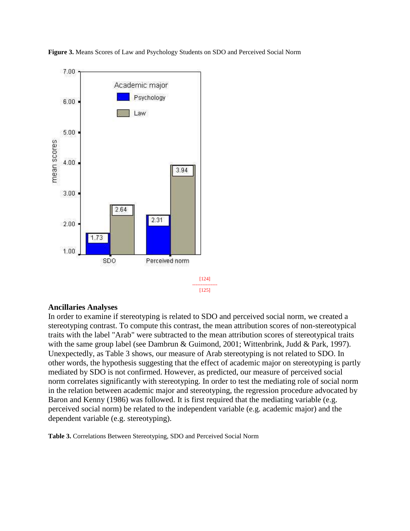**Figure 3.** Means Scores of Law and Psychology Students on SDO and Perceived Social Norm



#### **Ancillaries Analyses**

In order to examine if stereotyping is related to SDO and perceived social norm, we created a stereotyping contrast. To compute this contrast, the mean attribution scores of non-stereotypical traits with the label "Arab" were subtracted to the mean attribution scores of stereotypical traits with the same group label (see Dambrun & Guimond, 2001; Wittenbrink, Judd & Park, 1997). Unexpectedly, as Table 3 shows, our measure of Arab stereotyping is not related to SDO. In other words, the hypothesis suggesting that the effect of academic major on stereotyping is partly mediated by SDO is not confirmed. However, as predicted, our measure of perceived social norm correlates significantly with stereotyping. In order to test the mediating role of social norm in the relation between academic major and stereotyping, the regression procedure advocated by Baron and Kenny (1986) was followed. It is first required that the mediating variable (e.g. perceived social norm) be related to the independent variable (e.g. academic major) and the dependent variable (e.g. stereotyping).

**Table 3.** Correlations Between Stereotyping, SDO and Perceived Social Norm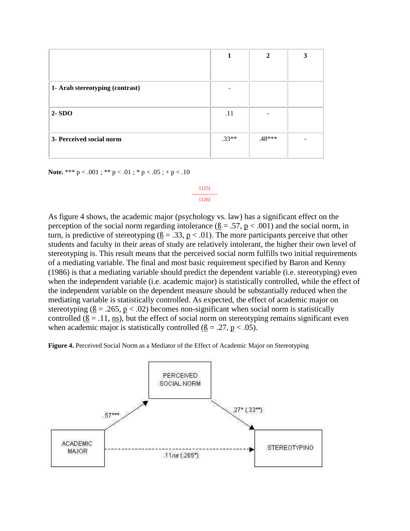|                                 |         | $\mathbf{2}$ | 3 |
|---------------------------------|---------|--------------|---|
| 1- Arab stereotyping (contrast) |         |              |   |
| $2 - SDO$                       | .11     |              |   |
| 3- Perceived social norm        | $.33**$ | $.48***$     |   |

**Note.** \*\*\*  $p < .001$ ; \*\*  $p < .01$ ; \*  $p < .05$ ; +  $p < .10$ 

#### [125] --------------- [126]

As figure 4 shows, the academic major (psychology vs. law) has a significant effect on the perception of the social norm regarding intolerance  $(\beta = .57, p < .001)$  and the social norm, in turn, is predictive of stereotyping  $(β = .33, p < .01)$ . The more participants perceive that other students and faculty in their areas of study are relatively intolerant, the higher their own level of stereotyping is. This result means that the perceived social norm fulfills two initial requirements of a mediating variable. The final and most basic requirement specified by Baron and Kenny (1986) is that a mediating variable should predict the dependent variable (i.e. stereotyping) even when the independent variable (i.e. academic major) is statistically controlled, while the effect of the independent variable on the dependent measure should be substantially reduced when the mediating variable is statistically controlled. As expected, the effect of academic major on stereotyping ( $\underline{8} = .265$ ,  $\underline{p} < .02$ ) becomes non-significant when social norm is statistically controlled  $(\beta = .11, \text{ns})$ , but the effect of social norm on stereotyping remains significant even when academic major is statistically controlled ( $\underline{B} = .27$ ,  $\underline{p} < .05$ ).

**Figure 4.** Perceived Social Norm as a Mediator of the Effect of Academic Major on Stereotyping

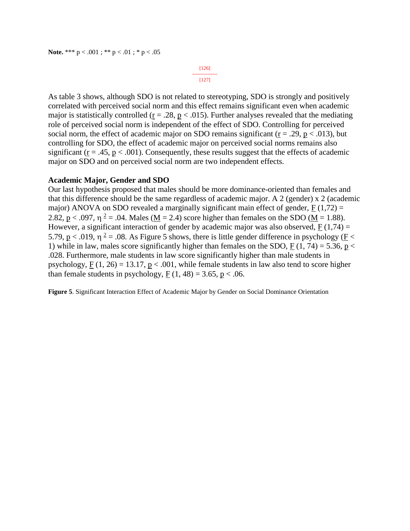[126] --------------- [127]

As table 3 shows, although SDO is not related to stereotyping, SDO is strongly and positively correlated with perceived social norm and this effect remains significant even when academic major is statistically controlled ( $r = .28$ ,  $p < .015$ ). Further analyses revealed that the mediating role of perceived social norm is independent of the effect of SDO. Controlling for perceived social norm, the effect of academic major on SDO remains significant ( $r = .29$ ,  $p < .013$ ), but controlling for SDO, the effect of academic major on perceived social norms remains also significant ( $r = .45$ ,  $p < .001$ ). Consequently, these results suggest that the effects of academic major on SDO and on perceived social norm are two independent effects.

#### **Academic Major, Gender and SDO**

Our last hypothesis proposed that males should be more dominance-oriented than females and that this difference should be the same regardless of academic major. A 2 (gender) x 2 (academic major) ANOVA on SDO revealed a marginally significant main effect of gender,  $F(1,72) =$ 2.82,  $p < .097$ ,  $\eta^2 = .04$ . Males ( $M = 2.4$ ) score higher than females on the SDO ( $M = 1.88$ ). However, a significant interaction of gender by academic major was also observed,  $F(1,74) =$ 5.79,  $p < .019$ ,  $\eta^2 = .08$ . As Figure 5 shows, there is little gender difference in psychology ( $\overline{F}$  < 1) while in law, males score significantly higher than females on the SDO, F (1, 74) = 5.36, p < .028. Furthermore, male students in law score significantly higher than male students in psychology,  $F(1, 26) = 13.17$ ,  $p < .001$ , while female students in law also tend to score higher than female students in psychology,  $F(1, 48) = 3.65$ ,  $p < .06$ .

**Figure 5**. Significant Interaction Effect of Academic Major by Gender on Social Dominance Orientation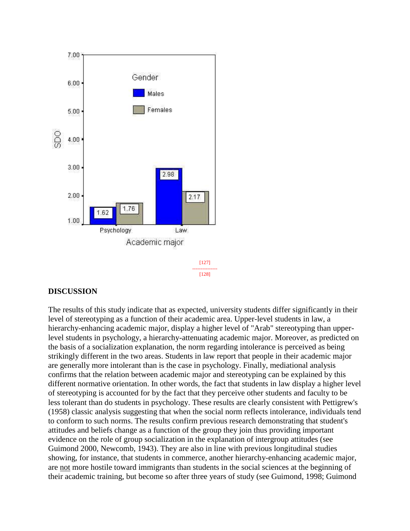

[128]

# **DISCUSSION**

The results of this study indicate that as expected, university students differ significantly in their level of stereotyping as a function of their academic area. Upper-level students in law, a hierarchy-enhancing academic major, display a higher level of "Arab" stereotyping than upperlevel students in psychology, a hierarchy-attenuating academic major. Moreover, as predicted on the basis of a socialization explanation, the norm regarding intolerance is perceived as being strikingly different in the two areas. Students in law report that people in their academic major are generally more intolerant than is the case in psychology. Finally, mediational analysis confirms that the relation between academic major and stereotyping can be explained by this different normative orientation. In other words, the fact that students in law display a higher level of stereotyping is accounted for by the fact that they perceive other students and faculty to be less tolerant than do students in psychology. These results are clearly consistent with Pettigrew's (1958) classic analysis suggesting that when the social norm reflects intolerance, individuals tend to conform to such norms. The results confirm previous research demonstrating that student's attitudes and beliefs change as a function of the group they join thus providing important evidence on the role of group socialization in the explanation of intergroup attitudes (see Guimond 2000, Newcomb, 1943). They are also in line with previous longitudinal studies showing, for instance, that students in commerce, another hierarchy-enhancing academic major, are not more hostile toward immigrants than students in the social sciences at the beginning of their academic training, but become so after three years of study (see Guimond, 1998; Guimond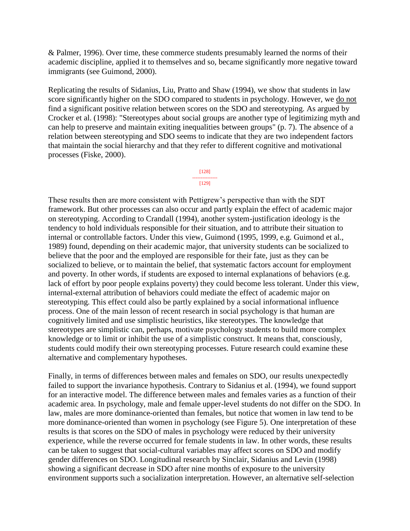& Palmer, 1996). Over time, these commerce students presumably learned the norms of their academic discipline, applied it to themselves and so, became significantly more negative toward immigrants (see Guimond, 2000).

Replicating the results of Sidanius, Liu, Pratto and Shaw (1994), we show that students in law score significantly higher on the SDO compared to students in psychology. However, we do not find a significant positive relation between scores on the SDO and stereotyping. As argued by Crocker et al. (1998): "Stereotypes about social groups are another type of legitimizing myth and can help to preserve and maintain exiting inequalities between groups" (p. 7). The absence of a relation between stereotyping and SDO seems to indicate that they are two independent factors that maintain the social hierarchy and that they refer to different cognitive and motivational processes (Fiske, 2000).

#### [128] ---------------  $[129]$

These results then are more consistent with Pettigrew's perspective than with the SDT framework. But other processes can also occur and partly explain the effect of academic major on stereotyping. According to Crandall (1994), another system-justification ideology is the tendency to hold individuals responsible for their situation, and to attribute their situation to internal or controllable factors. Under this view, Guimond (1995, 1999, e.g. Guimond et al., 1989) found, depending on their academic major, that university students can be socialized to believe that the poor and the employed are responsible for their fate, just as they can be socialized to believe, or to maintain the belief, that systematic factors account for employment and poverty. In other words, if students are exposed to internal explanations of behaviors (e.g. lack of effort by poor people explains poverty) they could become less tolerant. Under this view, internal-external attribution of behaviors could mediate the effect of academic major on stereotyping. This effect could also be partly explained by a social informational influence process. One of the main lesson of recent research in social psychology is that human are cognitively limited and use simplistic heuristics, like stereotypes. The knowledge that stereotypes are simplistic can, perhaps, motivate psychology students to build more complex knowledge or to limit or inhibit the use of a simplistic construct. It means that, consciously, students could modify their own stereotyping processes. Future research could examine these alternative and complementary hypotheses.

Finally, in terms of differences between males and females on SDO, our results unexpectedly failed to support the invariance hypothesis. Contrary to Sidanius et al. (1994), we found support for an interactive model. The difference between males and females varies as a function of their academic area. In psychology, male and female upper-level students do not differ on the SDO. In law, males are more dominance-oriented than females, but notice that women in law tend to be more dominance-oriented than women in psychology (see Figure 5). One interpretation of these results is that scores on the SDO of males in psychology were reduced by their university experience, while the reverse occurred for female students in law. In other words, these results can be taken to suggest that social-cultural variables may affect scores on SDO and modify gender differences on SDO. Longitudinal research by Sinclair, Sidanius and Levin (1998) showing a significant decrease in SDO after nine months of exposure to the university environment supports such a socialization interpretation. However, an alternative self-selection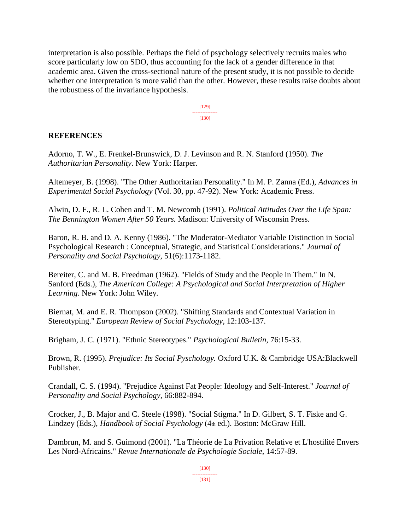interpretation is also possible. Perhaps the field of psychology selectively recruits males who score particularly low on SDO, thus accounting for the lack of a gender difference in that academic area. Given the cross-sectional nature of the present study, it is not possible to decide whether one interpretation is more valid than the other. However, these results raise doubts about the robustness of the invariance hypothesis.

> [129] --------------- [130]

### **REFERENCES**

Adorno, T. W., E. Frenkel-Brunswick, D. J. Levinson and R. N. Stanford (1950). *The Authoritarian Personality*. New York: Harper.

Altemeyer, B. (1998). "The Other Authoritarian Personality." In M. P. Zanna (Ed.), *Advances in Experimental Social Psychology* (Vol. 30, pp. 47-92). New York: Academic Press.

Alwin, D. F., R. L. Cohen and T. M. Newcomb (1991). *Political Attitudes Over the Life Span: The Bennington Women After 50 Years.* Madison: University of Wisconsin Press.

Baron, R. B. and D. A. Kenny (1986). "The Moderator-Mediator Variable Distinction in Social Psychological Research : Conceptual, Strategic, and Statistical Considerations." *Journal of Personality and Social Psychology,* 51(6):1173-1182.

Bereiter, C. and M. B. Freedman (1962). "Fields of Study and the People in Them." In N. Sanford (Eds.), *The American College: A Psychological and Social Interpretation of Higher Learning*. New York: John Wiley.

Biernat, M. and E. R. Thompson (2002). "Shifting Standards and Contextual Variation in Stereotyping." *European Review of Social Psychology,* 12:103-137.

Brigham, J. C. (1971). "Ethnic Stereotypes." *Psychological Bulletin,* 76:15-33.

Brown, R. (1995). *Prejudice: Its Social Pyschology.* Oxford U.K. & Cambridge USA:Blackwell Publisher.

Crandall, C. S. (1994). "Prejudice Against Fat People: Ideology and Self-Interest." *Journal of Personality and Social Psychology,* 66:882-894.

Crocker, J., B. Major and C. Steele (1998). "Social Stigma." In D. Gilbert, S. T. Fiske and G. Lindzey (Eds.), *Handbook of Social Psychology* (4th ed.). Boston: McGraw Hill.

Dambrun, M. and S. Guimond (2001). "La Théorie de La Privation Relative et L'hostilité Envers Les Nord-Africains." *Revue Internationale de Psychologie Sociale*, 14:57-89.

> [130] --------------- [131]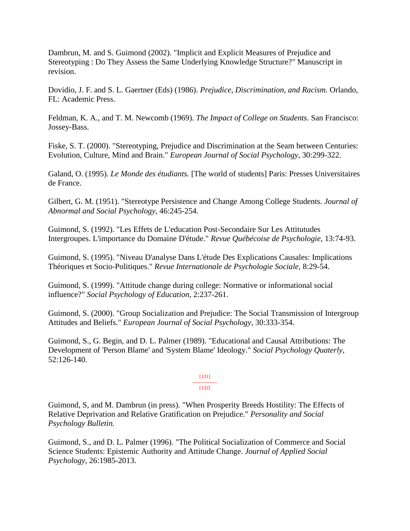Dambrun, M. and S. Guimond (2002). "Implicit and Explicit Measures of Prejudice and Stereotyping : Do They Assess the Same Underlying Knowledge Structure?" Manuscript in revision.

Dovidio, J. F. and S. L. Gaertner (Eds) (1986). *Prejudice, Discrimination, and Racism.* Orlando, FL: Academic Press.

Feldman, K. A., and T. M. Newcomb (1969). *The Impact of College on Students.* San Francisco: Jossey-Bass.

Fiske, S. T. (2000). "Stereotyping, Prejudice and Discrimination at the Seam between Centuries: Evolution, Culture, Mind and Brain." *European Journal of Social Psychology*, 30:299-322.

Galand, O. (1995). *Le Monde des étudiants.* [The world of students] Paris: Presses Universitaires de France.

Gilbert, G. M. (1951). "Stereotype Persistence and Change Among College Students. *Journal of Abnormal and Social Psychology,* 46:245-254.

Guimond, S. (1992). "Les Effets de L'education Post-Secondaire Sur Les Attitutudes Intergroupes. L'importance du Domaine D'étude." *Revue Québécoise de Psychologie*, 13:74-93.

Guimond, S. (1995). "Niveau D'analyse Dans L'étude Des Explications Causales: Implications Théoriques et Socio-Politiques." *Revue Internationale de Psychologie Sociale,* 8:29-54.

Guimond, S. (1999). "Attitude change during college: Normative or informational social influence?" *Social Psychology of Education*, 2:237-261.

Guimond, S. (2000). "Group Socialization and Prejudice: The Social Transmission of Intergroup Attitudes and Beliefs." *European Journal of Social Psychology*, 30:333-354.

Guimond, S., G. Begin, and D. L. Palmer (1989). "Educational and Causal Attributions: The Development of 'Person Blame' and 'System Blame' Ideology." *Social Psychology Quaterly*, 52:126-140.

#### [131] --------------- [132]

Guimond, S, and M. Dambrun (in press). "When Prosperity Breeds Hostility: The Effects of Relative Deprivation and Relative Gratification on Prejudice." *Personality and Social Psychology Bulletin.*

Guimond, S., and D. L. Palmer (1996). "The Political Socialization of Commerce and Social Science Students: Epistemic Authority and Attitude Change. *Journal of Applied Social Psychology,* 26:1985-2013.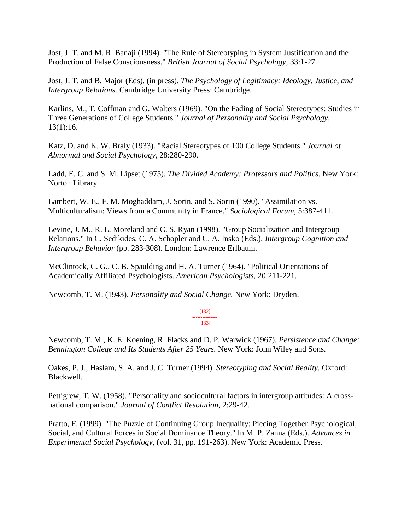Jost, J. T. and M. R. Banaji (1994). "The Rule of Stereotyping in System Justification and the Production of False Consciousness." *British Journal of Social Psychology,* 33:1-27.

Jost, J. T. and B. Major (Eds). (in press). *The Psychology of Legitimacy: Ideology, Justice, and Intergroup Relations.* Cambridge University Press: Cambridge.

Karlins, M., T. Coffman and G. Walters (1969). "On the Fading of Social Stereotypes: Studies in Three Generations of College Students." *Journal of Personality and Social Psychology,* 13(1):16.

Katz, D. and K. W. Braly (1933). "Racial Stereotypes of 100 College Students." *Journal of Abnormal and Social Psychology*, 28:280-290.

Ladd, E. C. and S. M. Lipset (1975). *The Divided Academy: Professors and Politics*. New York: Norton Library.

Lambert, W. E., F. M. Moghaddam, J. Sorin, and S. Sorin (1990). "Assimilation vs. Multiculturalism: Views from a Community in France." *Sociological Forum*, 5:387-411.

Levine, J. M., R. L. Moreland and C. S. Ryan (1998). "Group Socialization and Intergroup Relations." In C. Sedikides, C. A. Schopler and C. A. Insko (Eds.), *Intergroup Cognition and Intergroup Behavior* (pp. 283-308). London: Lawrence Erlbaum.

McClintock, C. G., C. B. Spaulding and H. A. Turner (1964). "Political Orientations of Academically Affiliated Psychologists. *American Psychologists,* 20:211-221.

Newcomb, T. M. (1943). *Personality and Social Change.* New York: Dryden.

#### [132] ---------------

[133]

Newcomb, T. M., K. E. Koening, R. Flacks and D. P. Warwick (1967). *Persistence and Change: Bennington College and Its Students After 25 Years.* New York: John Wiley and Sons.

Oakes, P. J., Haslam, S. A. and J. C. Turner (1994). *Stereotyping and Social Reality.* Oxford: Blackwell.

Pettigrew, T. W. (1958). "Personality and sociocultural factors in intergroup attitudes: A crossnational comparison." *Journal of Conflict Resolution*, 2:29-42.

Pratto, F. (1999). "The Puzzle of Continuing Group Inequality: Piecing Together Psychological, Social, and Cultural Forces in Social Dominance Theory." In M. P. Zanna (Eds.). *Advances in Experimental Social Psychology,* (vol. 31, pp. 191-263). New York: Academic Press.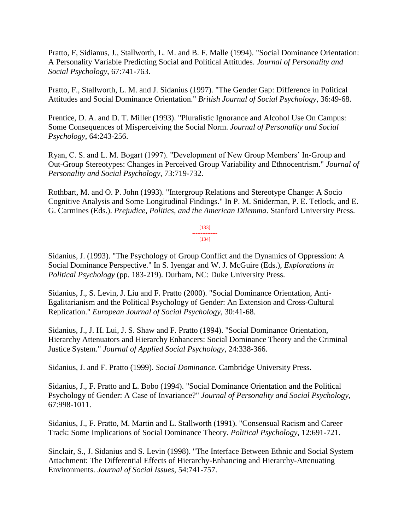Pratto, F, Sidianus, J., Stallworth, L. M. and B. F. Malle (1994). "Social Dominance Orientation: A Personality Variable Predicting Social and Political Attitudes. *Journal of Personality and Social Psychology*, 67:741-763.

Pratto, F., Stallworth, L. M. and J. Sidanius (1997). "The Gender Gap: Difference in Political Attitudes and Social Dominance Orientation." *British Journal of Social Psychology*, 36:49-68.

Prentice, D. A. and D. T. Miller (1993). "Pluralistic Ignorance and Alcohol Use On Campus: Some Consequences of Misperceiving the Social Norm. *Journal of Personality and Social Psychology*, 64:243-256.

Ryan, C. S. and L. M. Bogart (1997). "Development of New Group Members' In-Group and Out-Group Stereotypes: Changes in Perceived Group Variability and Ethnocentrism." *Journal of Personality and Social Psychology*, 73:719-732.

Rothbart, M. and O. P. John (1993). "Intergroup Relations and Stereotype Change: A Socio Cognitive Analysis and Some Longitudinal Findings." In P. M. Sniderman, P. E. Tetlock, and E. G. Carmines (Eds.). *Prejudice, Politics, and the American Dilemma*. Stanford University Press.

> [133] --------------- [134]

Sidanius, J. (1993). "The Psychology of Group Conflict and the Dynamics of Oppression: A Social Dominance Perspective." In S. Iyengar and W. J. McGuire (Eds.), *Explorations in Political Psychology* (pp. 183-219). Durham, NC: Duke University Press.

Sidanius, J., S. Levin, J. Liu and F. Pratto (2000). "Social Dominance Orientation, Anti-Egalitarianism and the Political Psychology of Gender: An Extension and Cross-Cultural Replication." *European Journal of Social Psychology,* 30:41-68.

Sidanius, J., J. H. Lui, J. S. Shaw and F. Pratto (1994). "Social Dominance Orientation, Hierarchy Attenuators and Hierarchy Enhancers: Social Dominance Theory and the Criminal Justice System." *Journal of Applied Social Psychology*, 24:338-366.

Sidanius, J. and F. Pratto (1999). *Social Dominance.* Cambridge University Press.

Sidanius, J., F. Pratto and L. Bobo (1994). "Social Dominance Orientation and the Political Psychology of Gender: A Case of Invariance?" *Journal of Personality and Social Psychology,*  67:998-1011.

Sidanius, J., F. Pratto, M. Martin and L. Stallworth (1991). "Consensual Racism and Career Track: Some Implications of Social Dominance Theory. *Political Psychology*, 12:691-721.

Sinclair, S., J. Sidanius and S. Levin (1998). "The Interface Between Ethnic and Social System Attachment: The Differential Effects of Hierarchy-Enhancing and Hierarchy-Attenuating Environments. *Journal of Social Issues,* 54:741-757.